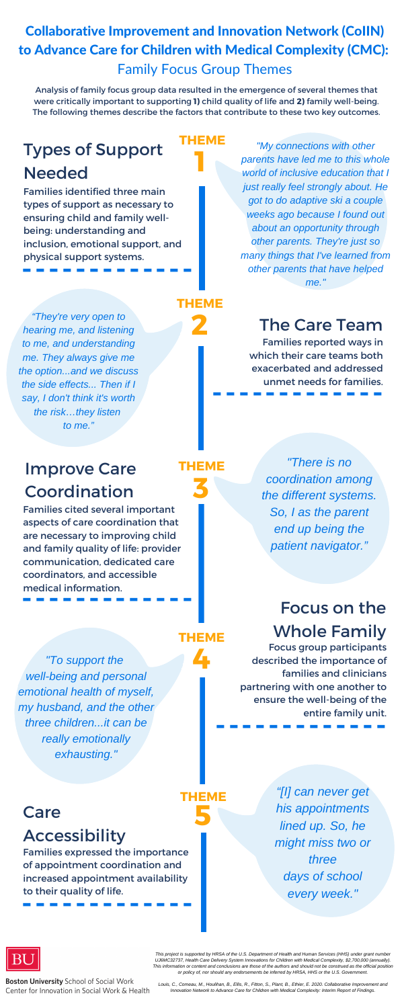### Collaborative Improvement and Innovation Network (CoIIN) to Advance Care for Children with Medical Complexity (CMC): Family Focus Group Themes

### Types of Support **Needed**

Families identified three main types of support as necessary to ensuring child and family wellbeing: understanding and inclusion, emotional support, and physical support systems.<br> **-------------**

### The Care Team

**3**

### Improve Care Coordination

**1**

### **2**

**4**

### Care **5**

### **Accessibility**

Families expressed the importance of appointment coordination and increased appointment availability **to their quality of life.**<br>  $\blacksquare$   $\blacksquare$   $\blacksquare$   $\blacksquare$   $\blacksquare$   $\blacksquare$   $\blacksquare$   $\blacksquare$   $\blacksquare$   $\blacksquare$   $\blacksquare$   $\blacksquare$   $\blacksquare$   $\blacksquare$   $\blacksquare$   $\blacksquare$   $\blacksquare$   $\blacksquare$   $\blacksquare$   $\blacksquare$   $\blacksquare$   $\blacksquare$   $\blacksquare$   $\blacksquare$   $\blacksquare$   $\blacksquare$   $\blacksquare$   $\blacks$ 

Families cited several important aspects of care coordination that are necessary to improving child and family quality of life: provider communication, dedicated care coordinators, and accessible medical information. **-------------**

Families reported ways in which their care teams both exacerbated and addressed unmet needs for families. **-------------**

### Focus on the Whole Family

**THEME**

**THEME**

**THEME**

Focus group participants described the importance of families and clinicians partnering with one another to ensure the well-being of the entire family unit. **-------------**

**THEME**

**THEME**

Analysis of family focus group data resulted in the emergence of several themes that were critically important to supporting **1)** child quality of life and **2)** family well-being. The following themes describe the factors that contribute to these two key outcomes.

> *"My connections with other parents have led me to this whole world of inclusive education that I just really feel strongly about. He got to do adaptive ski a couple weeks ago because I found out about an opportunity through other parents. They're just so many things that I've learned from other parents that have helped me."*

*"They're very open to hearing me, and listening to me, and understanding me. They always give me the option...and we discuss the side effects... Then if I say, I don't think it's worth the risk…they listen to me."*

> *"There is no coordination among the different systems. So, I as the parent end up being the patient navigator."*

*"To support the well-being and personal emotional health of myself, my husband, and the other three children...it can be really emotionally exhausting."*

> *"[I] can never get his appointments lined up. So, he might miss two or three days of school every week."*



**Boston University School of Social Work** Center for Innovation in Social Work & Health

*This project is supported by HRSA of the U.S. Department of Health and Human Services (HHS) under grant number UJ6MC32737, Health Care Delivery System Innovations for Children with Medical Complexity, \$2,700,000 (annually). This information or content and conclusions are those of the authors and should not be construed as the official position or policy of, nor should any endorsements be inferred by HRSA, HHS or the U.S. Government.*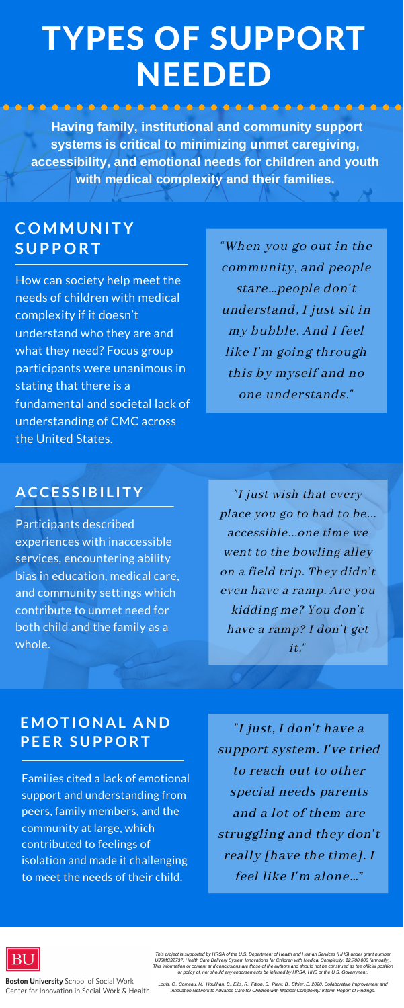Families cited a lack of emotional support and understanding from peers, family members, and the community at large, which contributed to feelings of isolation and made it challenging to meet the needs of their child.

### **EMOT IONA L AND PE ER S U PPORT**

Participants described experiences with inaccessible services, encountering ability bias in education, medical care, and community settings which contribute to unmet need for both child and the family as a whole.

### **A CCE S S IBI L I TY**

How can society help meet the needs of children with medical complexity if it doesn't understand who they are and what they need? Focus group participants were unanimous in stating that there is a fundamental and societal lack of understanding of CMC across the United States.

### **COMMUNI TY S U PPORT**

"I just, I don 't have a support system. I' ve tried to reach out to other special needs parents and a lot of them are struggling and they don 't really [have the time]. I feel like I' m alone…"



**Boston University School of Social Work** Center for Innovation in Social Work & Health

"I just wish that every place you go to had to be... accessible...one time we went to the bowling alley on a field trip. They didn't even have a ramp. Are you

kidding me? You don't have a ramp? I don't get it."

"When you go out in the community, and people stare…people don't understand, I just sit in my bubble. And I feel like I'm going through this by myself and no one understands."

### TYPES OF SUPPORT NEEDED

**Having family, institutional and community support systems is critical to minimizing unmet caregiving, accessibility, and emotional needs for children and youth with medical complexity and their families.**

*This project is supported by HRSA of the U.S. Department of Health and Human Services (HHS) under grant number UJ6MC32737, Health Care Delivery System Innovations for Children with Medical Complexity, \$2,700,000 (annually). This information or content and conclusions are those of the authors and should not be construed as the official position or policy of, nor should any endorsements be inferred by HRSA, HHS or the U.S. Government.*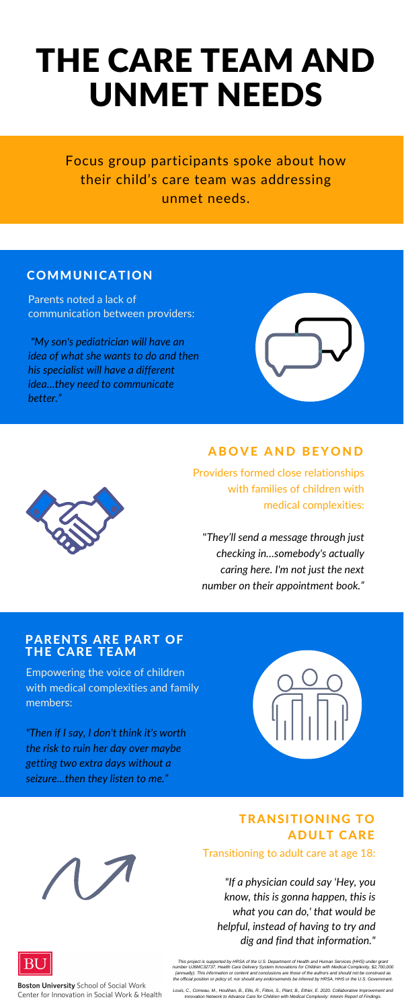# THE CARE TEAM AND UNMET NEEDS

Parents noted a lack of communication between providers:

*"My son's pediatrician will have an idea of what she wants to do and then his specialist will have a different idea…they need to communicate better."*



### **ABOVE AND BEYOND**

Providers formed close relationships with families of children with medical complexities:

"*They'll send a message through just checking in…somebody's actually caring here. I'm not just the next number on their appointment book."*



#### Transitioning to adult care at age 18:

#### TRANSITIONING TO **ADULT CARE**

*"If a physician could say 'Hey, you know, this is gonna happen, this is what you can do,' that would be helpful, instead of having to try and dig and find that information."*



**Boston University School of Social Work** Center for Innovation in Social Work & Health

Empowering the voice of children with medical complexities and family members:

*"Then if I say, I don't think it's worth the risk to ruin her day over maybe getting two extra days without a seizure…then they listen to me."*



Focus group participants spoke about how their child's care team was addressing unmet needs.

### COMMUNICATION

#### PARENTS ARE PART OF THE CARE TEAM

*This project is supported by HRSA of the U.S. Department of Health and Human Services (HHS) under grant number UJ6MC32737, Health Care Delivery System Innovations for Children with Medical Complexity, \$2,700,000 (annually). This information or content and conclusions are those of the authors and should not be construed as the official position or policy of, nor should any endorsements be inferred by HRSA, HHS or the U.S. Government.*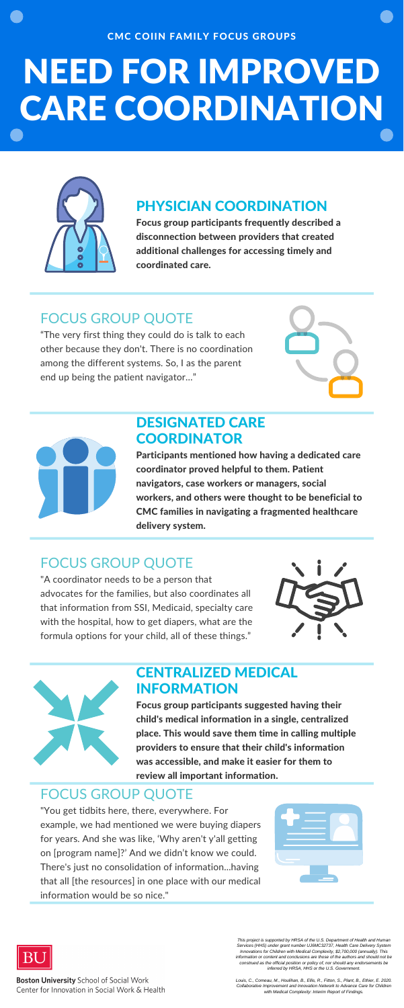### DESIGNATED CARE **COORDINATOR**

#### CMC COIIN FAMILY FOCUS GROUPS

# NEED FOR IMPROVED CARE COORDINATION



Participants mentioned how having a dedicated care coordinator proved helpful to them. Patient navigators, case workers or managers, social workers, and others were thought to be beneficial to CMC families in navigating a fragmented healthcare delivery system.

### CENTRALIZED MEDICAL INFORMATION

Focus group participants suggested having their child's medical information in a single, centralized place. This would save them time in calling multiple providers to ensure that their child's information was accessible, and make it easier for them to review all important information.

### FOCUS GROUP QUOTE

"The very first thing they could do is talk to each other because they don't. There is no coordination among the different systems. So, I as the parent end up being the patient navigator…"





### PHYSICIAN COORDINATION

Focus group participants frequently described a disconnection between providers that created additional challenges for accessing timely and coordinated care.

### FOCUS GROUP QUOTE

"A coordinator needs to be a person that advocates for the families, but also coordinates all that information from SSI, Medicaid, specialty care with the hospital, how to get diapers, what are the formula options for your child, all of these things."





### FOCUS GROUP QUOTE

"You get tidbits here, there, everywhere. For example, we had mentioned we were buying diapers for years. And she was like, 'Why aren't y'all getting on [program name]?' And we didn't know we could. There's just no consolidation of information...having that all [the resources] in one place with our medical information would be so nice."





**Boston University School of Social Work** Center for Innovation in Social Work & Health

*This project is supported by HRSA of the U.S. Department of Health and Human Services (HHS) under grant number UJ6MC32737, Health Care Delivery System Innovations for Children with Medical Complexity, \$2,700,000 (annually). This information or content and conclusions are those of the authors and should not be construed as the official position or policy of, nor should any endorsements be inferred by HRSA, HHS or the U.S. Government.*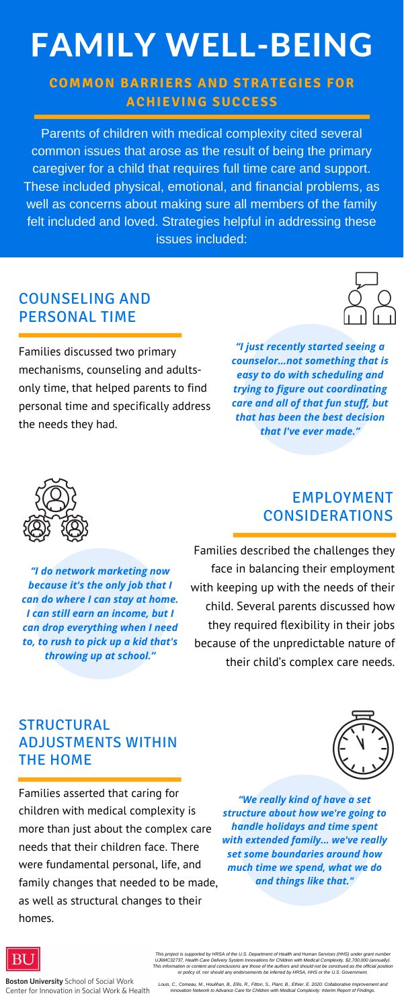### COUNSELING AND PERSONAL TIME

Families discussed two primary mechanisms, counseling and adultsonly time, that helped parents to find personal time and specifically address the needs they had.



### EMPLOYMENT CONSIDERATIONS

Families described the challenges they face in balancing their employment with keeping up with the needs of their child. Several parents discussed how they required flexibility in their jobs because of the unpredictable nature of their child's complex care needs.

### STRUCTURAL ADJUSTMENTS WITHIN THE HOME

Families asserted that caring for children with medical complexity is more than just about the complex care needs that their children face. There were fundamental personal, life, and family changes that needed to be made, as well as structural changes to their homes.



# FAMILY WELL-BEING

### **COMMON BARRIERS AND STRATEGIES FOR ACHIEVING SUCCESS**

Parents of children with medical complexity cited several common issues that arose as the result of being the primary caregiver for a child that requires full time care and support. These included physical, emotional, and financial problems, as well as concerns about making sure all members of the family felt included and loved. Strategies helpful in addressing these issues included:

> *"I just recently started seeing a counselor…not something that is easy to do with scheduling and trying to figure out coordinating care and all of that fun stuff, but that has been the best decision that I've ever made."*



*"I do network marketing now because it's the only job that I can do where I can stay at home. I can still earn an income, but I can drop everything when I need to, to rush to pick up a kid that's throwing up at school."*

> *"We really kind of have a set structure about how we're going to handle holidays and time spent with extended family... we've really set some boundaries around how much time we spend, what we do and things like that."*



*This project is supported by HRSA of the U.S. Department of Health and Human Services (HHS) under grant number UJ6MC32737, Health Care Delivery System Innovations for Children with Medical Complexity, \$2,700,000 (annually). This information or content and conclusions are those of the authors and should not be construed as the official position or policy of, nor should any endorsements be inferred by HRSA, HHS or the U.S. Government.*

**Boston University School of Social Work** Center for Innovation in Social Work & Health